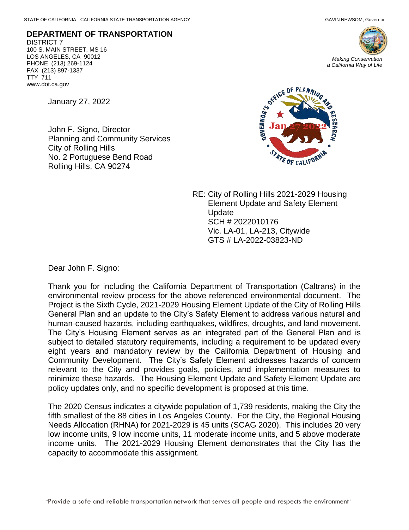**DEPARTMENT OF TRANSPORTATION** DISTRICT 7 100 S. MAIN STREET, MS 16 LOS ANGELES, CA 90012 PHONE (213) 269-1124 FAX (213) 897-1337 TTY 711 www.dot.ca.gov

January 27, 2022

John F. Signo, Director Planning and Community Services City of Rolling Hills No. 2 Portuguese Bend Road Rolling Hills, CA 90274



RE: City of Rolling Hills 2021-2029 Housing Element Update and Safety Element Update SCH # 2022010176 Vic. LA-01, LA-213, Citywide GTS # LA-2022-03823-ND

Dear John F. Signo:

Thank you for including the California Department of Transportation (Caltrans) in the environmental review process for the above referenced environmental document. The Project is the Sixth Cycle, 2021-2029 Housing Element Update of the City of Rolling Hills General Plan and an update to the City's Safety Element to address various natural and human-caused hazards, including earthquakes, wildfires, droughts, and land movement. The City's Housing Element serves as an integrated part of the General Plan and is subject to detailed statutory requirements, including a requirement to be updated every eight years and mandatory review by the California Department of Housing and Community Development. The City's Safety Element addresses hazards of concern relevant to the City and provides goals, policies, and implementation measures to minimize these hazards. The Housing Element Update and Safety Element Update are policy updates only, and no specific development is proposed at this time.

The 2020 Census indicates a citywide population of 1,739 residents, making the City the fifth smallest of the 88 cities in Los Angeles County. For the City, the Regional Housing Needs Allocation (RHNA) for 2021-2029 is 45 units (SCAG 2020). This includes 20 very low income units, 9 low income units, 11 moderate income units, and 5 above moderate income units. The 2021-2029 Housing Element demonstrates that the City has the capacity to accommodate this assignment.

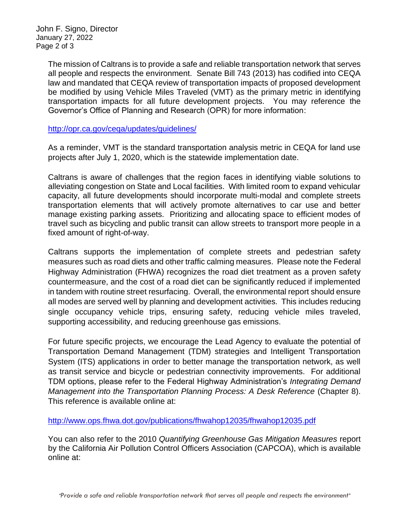John F. Signo, Director January 27, 2022 Page 2 of 3

> The mission of Caltrans is to provide a safe and reliable transportation network that serves all people and respects the environment. Senate Bill 743 (2013) has codified into CEQA law and mandated that CEQA review of transportation impacts of proposed development be modified by using Vehicle Miles Traveled (VMT) as the primary metric in identifying transportation impacts for all future development projects. You may reference the Governor's Office of Planning and Research (OPR) for more information:

<http://opr.ca.gov/ceqa/updates/guidelines/>

As a reminder, VMT is the standard transportation analysis metric in CEQA for land use projects after July 1, 2020, which is the statewide implementation date.

Caltrans is aware of challenges that the region faces in identifying viable solutions to alleviating congestion on State and Local facilities. With limited room to expand vehicular capacity, all future developments should incorporate multi-modal and complete streets transportation elements that will actively promote alternatives to car use and better manage existing parking assets. Prioritizing and allocating space to efficient modes of travel such as bicycling and public transit can allow streets to transport more people in a fixed amount of right-of-way.

Caltrans supports the implementation of complete streets and pedestrian safety measures such as road diets and other traffic calming measures. Please note the Federal Highway Administration (FHWA) recognizes the road diet treatment as a proven safety countermeasure, and the cost of a road diet can be significantly reduced if implemented in tandem with routine street resurfacing. Overall, the environmental report should ensure all modes are served well by planning and development activities. This includes reducing single occupancy vehicle trips, ensuring safety, reducing vehicle miles traveled, supporting accessibility, and reducing greenhouse gas emissions.

For future specific projects, we encourage the Lead Agency to evaluate the potential of Transportation Demand Management (TDM) strategies and Intelligent Transportation System (ITS) applications in order to better manage the transportation network, as well as transit service and bicycle or pedestrian connectivity improvements. For additional TDM options, please refer to the Federal Highway Administration's *Integrating Demand Management into the Transportation Planning Process: A Desk Reference (Chapter 8).* This reference is available online at:

<http://www.ops.fhwa.dot.gov/publications/fhwahop12035/fhwahop12035.pdf>

You can also refer to the 2010 *Quantifying Greenhouse Gas Mitigation Measures* report by the California Air Pollution Control Officers Association (CAPCOA), which is available online at: